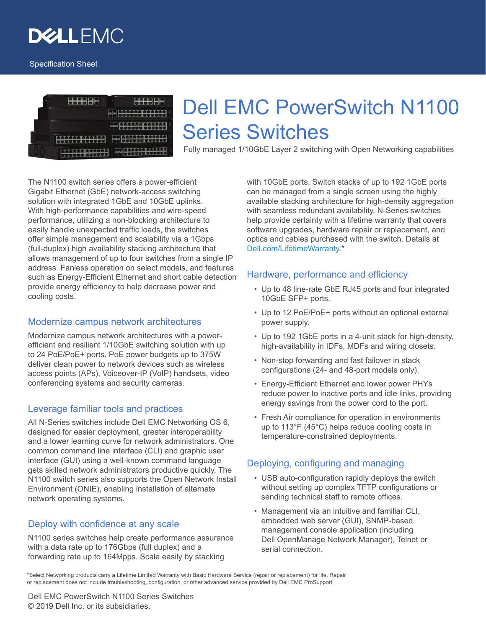



# Dell EMC PowerSwitch N1100 Series Switches

Fully managed 1/10GbE Layer 2 switching with Open Networking capabilities

The N1100 switch series offers a power-efficient Gigabit Ethernet (GbE) network-access switching solution with integrated 1GbE and 10GbE uplinks. With high-performance capabilities and wire-speed performance, utilizing a non-blocking architecture to easily handle unexpected traffic loads, the switches offer simple management and scalability via a 1Gbps (full-duplex) high availability stacking architecture that allows management of up to four switches from a single IP address. Fanless operation on select models, and features such as Energy-Efficient Ethernet and short cable detection provide energy efficiency to help decrease power and cooling costs.

# Modernize campus network architectures

Modernize campus network architectures with a powerefficient and resilient 1/10GbE switching solution with up to 24 PoE/PoE+ ports. PoE power budgets up to 375W deliver clean power to network devices such as wireless access points (APs), Voiceover-IP (VoIP) handsets, video conferencing systems and security cameras.

# Leverage familiar tools and practices

All N-Series switches include Dell EMC Networking OS 6, designed for easier deployment, greater interoperability and a lower learning curve for network administrators. One common command line interface (CLI) and graphic user interface (GUI) using a well-known command language gets skilled network administrators productive quickly. The N1100 switch series also supports the Open Network Install Environment (ONIE), enabling installation of alternate network operating systems.

# Deploy with confidence at any scale

N1100 series switches help create performance assurance with a data rate up to 176Gbps (full duplex) and a forwarding rate up to 164Mpps. Scale easily by stacking

with 10GbE ports. Switch stacks of up to 192 1GbE ports can be managed from a single screen using the highly available stacking architecture for high-density aggregation with seamless redundant availability. N-Series switches help provide certainty with a lifetime warranty that covers software upgrades, hardware repair or replacement, and optics and cables purchased with the switch. Details at [Dell.com/LifetimeWarranty](https://www.dell.com/learn/us/en/04/campaigns/lifetime-warranty).\*

# Hardware, performance and efficiency

- Up to 48 line-rate GbE RJ45 ports and four integrated 10GbE SFP+ ports.
- Up to 12 PoE/PoE+ ports without an optional external power supply.
- Up to 192 1GbE ports in a 4-unit stack for high-density, high-availability in IDFs, MDFs and wiring closets.
- Non-stop forwarding and fast failover in stack configurations (24- and 48-port models only).
- Energy-Efficient Ethernet and lower power PHYs reduce power to inactive ports and idle links, providing energy savings from the power cord to the port.
- Fresh Air compliance for operation in environments up to 113°F (45°C) helps reduce cooling costs in temperature-constrained deployments.

# Deploying, configuring and managing

- USB auto-configuration rapidly deploys the switch without setting up complex TFTP configurations or sending technical staff to remote offices.
- Management via an intuitive and familiar CLI, embedded web server (GUI), SNMP-based management console application (including Dell OpenManage Network Manager), Telnet or serial connection.

\*Select Networking products carry a Lifetime Limited Warranty with Basic Hardware Service (repair or replacement) for life. Repair or replacement does not include troubleshooting, configuration, or other advanced service provided by Dell EMC ProSupport.

Dell EMC PowerSwitch N1100 Series Switches © 2019 Dell Inc. or its subsidiaries.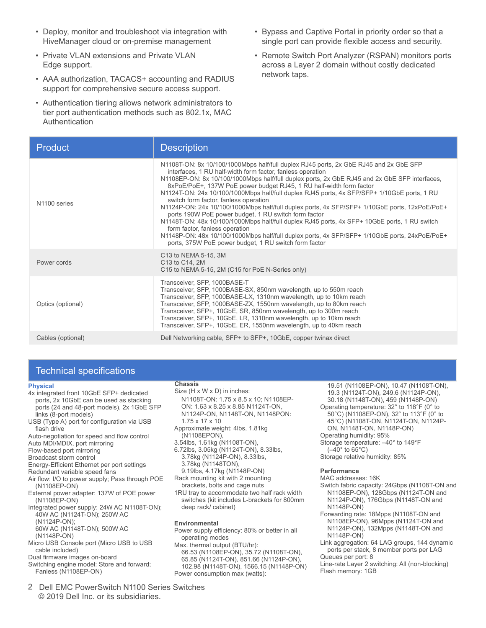- Deploy, monitor and troubleshoot via integration with HiveManager cloud or on-premise management
- Private VLAN extensions and Private VLAN Edge support.
- AAA authorization, TACACS+ accounting and RADIUS support for comprehensive secure access support.
- Authentication tiering allows network administrators to tier port authentication methods such as 802.1x, MAC Authentication
- Bypass and Captive Portal in priority order so that a single port can provide flexible access and security.
- Remote Switch Port Analyzer (RSPAN) monitors ports across a Layer 2 domain without costly dedicated network taps.

| <b>Product</b>    | <b>Description</b>                                                                                                                                                                                                                                                                                                                                                                                                                                                                                                                                                                                                                                                                                                                                                                                                                                                                              |
|-------------------|-------------------------------------------------------------------------------------------------------------------------------------------------------------------------------------------------------------------------------------------------------------------------------------------------------------------------------------------------------------------------------------------------------------------------------------------------------------------------------------------------------------------------------------------------------------------------------------------------------------------------------------------------------------------------------------------------------------------------------------------------------------------------------------------------------------------------------------------------------------------------------------------------|
| N1100 series      | N1108T-ON: 8x 10/100/1000Mbps half/full duplex RJ45 ports, 2x GbE RJ45 and 2x GbE SFP<br>interfaces, 1 RU half-width form factor, fanless operation<br>N1108EP-ON: 8x 10/100/1000Mbps half/full duplex ports, 2x GbE RJ45 and 2x GbE SFP interfaces,<br>8xPoE/PoE+, 137W PoE power budget RJ45, FastPoE, Perpetual PoE, 1 RU half-width<br>N1124T-ON: 24x 10/100/1000Mbps half/full duplex RJ45 ports, 4x SFP/SFP+ 1/10GbE ports, 1 RU<br>switch form factor, fanless operation<br>N1124P-ON: 24x 10/100/1000Mbps half/full duplex ports, 4x SFP/SFP+ 1/10GbE ports,<br>12xPoE/PoE+ ports 190W PoE power budget, 1 RU switch form factor<br>N1148T-ON: 48x 10/100/1000Mbps half/full duplex RJ45 ports, 4x SFP+ 10GbE ports, 1 RU, fanless<br>N1148P-ON: 48x 10/100/1000Mbps half/full duplex ports, 4x SFP/SFP+ 1/10GbE ports, 24xPoE/<br>PoE+, 375W PoE power budget, 1 RU switch form factor |
| Power cords       | C13 to NEMA 5-15, 3M<br>C13 to C14, 2M<br>C15 to NEMA 5-15, 2M (C15 for PoE N-Series only)                                                                                                                                                                                                                                                                                                                                                                                                                                                                                                                                                                                                                                                                                                                                                                                                      |
| Optics (optional) | Transceiver, SFP, 1000BASE-T<br>Transceiver, SFP, 1000BASE-SX, 850nm wavelength, up to 550m reach<br>Transceiver, SFP, 1000BASE-LX, 1310nm wavelength, up to 10km reach<br>Transceiver, SFP, 1000BASE-ZX, 1550nm wavelength, up to 80km reach<br>Transceiver, SFP+, 10GbE, SR, 850nm wavelength, up to 300m reach<br>Transceiver, SFP+, 10GbE, LR, 1310nm wavelength, up to 10km reach<br>Transceiver, SFP+, 10GbE, ER, 1550nm wavelength, up to 40km reach                                                                                                                                                                                                                                                                                                                                                                                                                                     |
| Cables (optional) | Dell Networking cable, SFP+ to SFP+, 10GbE, copper twinax direct                                                                                                                                                                                                                                                                                                                                                                                                                                                                                                                                                                                                                                                                                                                                                                                                                                |

# Technical specifications

#### **Physical**

4x integrated front 10GbE SFP+ dedicated ports, 2x 10GbE can be used as stacking ports (24 and 48-port models), 2x 1GbE SFP links (8 port models)

USB (Type A) port for configuration via USB flash drive

Auto-negotiation for speed and flow control Auto MDI/MDIX, port mirroring

Flow-based port mirroring

Broadcast storm control

Energy-Efficient Ethernet per port settings

Redundant variable speed fans

Air flow: I/O to power supply; Pass through POE (N1108EP-ON)

External power adapter: 137W of POE power (N1108EP-ON)

Integrated power supply: 24W AC N1108T-ON);40W AC (N1124T-ON); 250W AC (N1124P-ON);

60W AC (N1148T-ON); 500W AC (N1148P-ON)

Micro USB Console port (Micro USB to USB cable included)

Dual firmware images on-board

Switching engine model: Store and forward;

2 Dell EMC PowerSwitch N1100 Series Switches © 2019 Dell Inc. or its subsidiaries.

### **Chassis**

Size (H x W x D) in inches: N1108T-ON, N1108EP-ON: 1.62 x 8.23 x 8.86 N1124T-ON, N1124P-ON, N1148T-ON, N1148PON: 1.75 x 17 x 10 N1108EP-ON 280W PS 1.69x3.94x7.87

Approximate weight: N1108EP-ON 4lbs, 1.81kg N1108T-ON 3.54lbs, 1.61kg N1124T-ON 6.72lbs, 3.05kg N1124P-ON 8.33lbs, 3.78kg N1148T-ON 8.33lbs, 3.78kg N1148P-ON 9.19lbs, 4.17kg

N1108EP-ON 280W PowerSupply 2.0lbs, 0.91kg Rack mounting kit with 2 mounting

brackets, bolts and cage nuts 1RU tray to accommodate two half rack width switches (kit includes L-brackets for 800mm deep rack/ cabinet)

#### **Environmental**

Power supply efficiency: 80% or better in all operating modes

Max. thermal output (BTU/hr): 66.53 (N1108EP-ON), 35.72 (N1108T-ON), 65.85 (N1124T-ON), 851.66 (N1124P-ON), 102.98 (N1148T-ON), 1566.15 (N1148P-ON)

Power consumption max (watts) 19.51 (N1108EP-ON), 10.47 (N1108T-ON), 19.3 (N1124T-ON), 249.6 (N1124P-ON), 30.18 (N1148T-ON), 459 (N1148P-ON)

Operating temperature: 32° to 113°F (0° to 45°C) (N1108EP-ON, N1108T-ON, N1124T-ON, N1124P-ON, N1148T-ON, N1148P-ON) Operating humidity: 95% Storage temperature: –40° to 149°F (–40° to 65°C) Storage relative humidity: 85%

#### **Performance**

MAC addresses: 16K Switch fabric capacity: 24Gbps (N1108T-ON and N1108EP-ON), 128Gbps (N1124T-ON and N1124P-ON), 176Gbps (N1148T-ON and N1148P-ON)

Forwarding rate:18MppsN1108T-ON andN1108EP-ON), 96Mpps (N1124T-ON and N1124P-ON), 132Mpps (N1148T-ON and N1148P-ON)

Link aggregation: 64 LAG groups, 144 dynamic ports per stack, 8 member ports per LAG Queues per port: 8 Line-rate Layer 2 switching: All (non-blocking) Flash memory: 1GB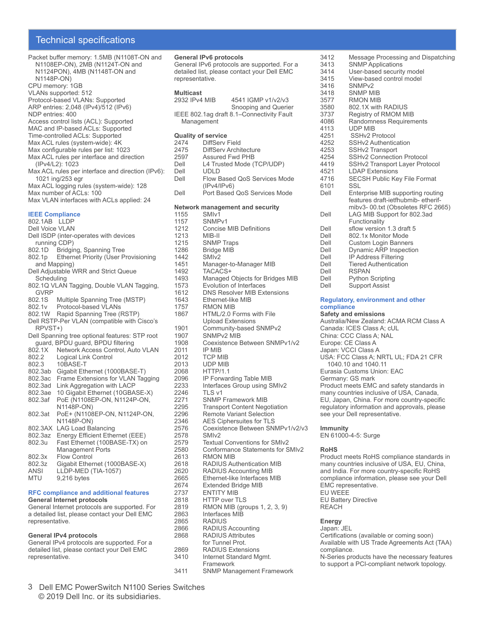# Technical specifications

| Packet buffer memory: 1.5MB (N1108T-ON and<br>N1108EP-ON), 2MB (N1124T-ON and<br>N1124PON), 4MB (N1148T-ON and<br>N1148P-ON)<br>CPU memory: 1GB<br>VLANs supported: 512<br>Protocol-based VLANs: Supported<br>ARP entries: 2,048 (IPv4)/512 (IPv6)<br>NDP entries: 400<br>Access control lists (ACL): Supported<br>MAC and IP-based ACLs: Supported<br>Time-controlled ACLs: Supported<br>Max ACL rules (system-wide): 4K<br>Max configurable rules per list: 1023<br>Max ACL rules per interface and direction<br>(IPv4/L2): 1023<br>Max ACL rules per interface and direction (IPv6):<br>1021 ing/253 egr<br>Max ACL logging rules (system-wide): 128<br>Max number of ACLs: 100<br>Max VLAN interfaces with ACLs applied: 24 |
|---------------------------------------------------------------------------------------------------------------------------------------------------------------------------------------------------------------------------------------------------------------------------------------------------------------------------------------------------------------------------------------------------------------------------------------------------------------------------------------------------------------------------------------------------------------------------------------------------------------------------------------------------------------------------------------------------------------------------------|
|                                                                                                                                                                                                                                                                                                                                                                                                                                                                                                                                                                                                                                                                                                                                 |
| <b>IEEE Compliance</b><br>802.1AB LLDP                                                                                                                                                                                                                                                                                                                                                                                                                                                                                                                                                                                                                                                                                          |
| <b>Dell Voice VLAN</b>                                                                                                                                                                                                                                                                                                                                                                                                                                                                                                                                                                                                                                                                                                          |
| Dell ISDP (inter-operates with devices                                                                                                                                                                                                                                                                                                                                                                                                                                                                                                                                                                                                                                                                                          |
| running CDP)<br>802.1D Bridging, Spanning Tree                                                                                                                                                                                                                                                                                                                                                                                                                                                                                                                                                                                                                                                                                  |
| 802.1p Ethernet Priority (User Provisioning                                                                                                                                                                                                                                                                                                                                                                                                                                                                                                                                                                                                                                                                                     |
| and Mapping)                                                                                                                                                                                                                                                                                                                                                                                                                                                                                                                                                                                                                                                                                                                    |
| Dell Adjustable WRR and Strict Queue                                                                                                                                                                                                                                                                                                                                                                                                                                                                                                                                                                                                                                                                                            |
| Scheduling                                                                                                                                                                                                                                                                                                                                                                                                                                                                                                                                                                                                                                                                                                                      |
| 802.1Q VLAN Tagging, Double VLAN Tagging,<br><b>GVRP</b>                                                                                                                                                                                                                                                                                                                                                                                                                                                                                                                                                                                                                                                                        |
| 802.1S<br>Multiple Spanning Tree (MSTP)                                                                                                                                                                                                                                                                                                                                                                                                                                                                                                                                                                                                                                                                                         |
| Protocol-based VLANs<br>802.1v                                                                                                                                                                                                                                                                                                                                                                                                                                                                                                                                                                                                                                                                                                  |
| 802.1W<br>Rapid Spanning Tree (RSTP)                                                                                                                                                                                                                                                                                                                                                                                                                                                                                                                                                                                                                                                                                            |
| Dell RSTP-Per VLAN (compatible with Cisco's<br>RPVST+)                                                                                                                                                                                                                                                                                                                                                                                                                                                                                                                                                                                                                                                                          |
| Dell Spanning tree optional features: STP root                                                                                                                                                                                                                                                                                                                                                                                                                                                                                                                                                                                                                                                                                  |
| guard, BPDU guard, BPDU filtering                                                                                                                                                                                                                                                                                                                                                                                                                                                                                                                                                                                                                                                                                               |
| 802.1X<br>Network Access Control, Auto VLAN                                                                                                                                                                                                                                                                                                                                                                                                                                                                                                                                                                                                                                                                                     |
| 802.2<br>Logical Link Control                                                                                                                                                                                                                                                                                                                                                                                                                                                                                                                                                                                                                                                                                                   |
| 802.3<br>10BASE-T<br>802.3ab<br>Gigabit Ethernet (1000BASE-T)                                                                                                                                                                                                                                                                                                                                                                                                                                                                                                                                                                                                                                                                   |
| 802.3ac<br>Frame Extensions for VLAN Tagging                                                                                                                                                                                                                                                                                                                                                                                                                                                                                                                                                                                                                                                                                    |
| 802.3ad<br>Link Aggregation with LACP                                                                                                                                                                                                                                                                                                                                                                                                                                                                                                                                                                                                                                                                                           |
| 802.3ae<br>10 Gigabit Ethernet (10GBASE-X)                                                                                                                                                                                                                                                                                                                                                                                                                                                                                                                                                                                                                                                                                      |
| 802.3af<br>PoE (N1108EP-ON, N1124P-ON,<br>N1148P-ON)                                                                                                                                                                                                                                                                                                                                                                                                                                                                                                                                                                                                                                                                            |
| PoE+ (N1108EP-ON, N1124P-ON,<br>802.3at                                                                                                                                                                                                                                                                                                                                                                                                                                                                                                                                                                                                                                                                                         |
| N1148P-ON)                                                                                                                                                                                                                                                                                                                                                                                                                                                                                                                                                                                                                                                                                                                      |
| 802.3AX<br><b>LAG Load Balancing</b>                                                                                                                                                                                                                                                                                                                                                                                                                                                                                                                                                                                                                                                                                            |
| 802.3az<br>Energy Efficient Ethernet (EEE)                                                                                                                                                                                                                                                                                                                                                                                                                                                                                                                                                                                                                                                                                      |
| 802.3u<br>Fast Ethernet (100BASE-TX) on<br><b>Management Ports</b>                                                                                                                                                                                                                                                                                                                                                                                                                                                                                                                                                                                                                                                              |
| 802.3x<br><b>Flow Control</b>                                                                                                                                                                                                                                                                                                                                                                                                                                                                                                                                                                                                                                                                                                   |
| 802.3z<br>Gigabit Ethernet (1000BASE-X)                                                                                                                                                                                                                                                                                                                                                                                                                                                                                                                                                                                                                                                                                         |
| <b>ANSI</b><br>LLDP-MED (TIA-1057)                                                                                                                                                                                                                                                                                                                                                                                                                                                                                                                                                                                                                                                                                              |
| <b>MTU</b><br>9,216 bytes                                                                                                                                                                                                                                                                                                                                                                                                                                                                                                                                                                                                                                                                                                       |
|                                                                                                                                                                                                                                                                                                                                                                                                                                                                                                                                                                                                                                                                                                                                 |

#### **RFC compliance and additional features General Internet protocols**

General Internet protocols are supported. For a detailed list, please contact your Dell EMC representative.

#### **General IPv4 protocols**

General IPv4 protocols are supported. For a detailed list, please contact your Dell EMC representative.

| representative.                   | <b>General IPv6 protocols</b><br>General IPv6 protocols are supported. For a<br>detailed list, please contact your Dell EMC |
|-----------------------------------|-----------------------------------------------------------------------------------------------------------------------------|
| <b>Multicast</b><br>2932 IPv4 MIB | 4541 IGMP v1/v2/v3<br>Snooping and Querier                                                                                  |
| Management                        | IEEE 802.1ag draft 8.1-Connectivity Fault                                                                                   |
| <b>Quality of service</b>         |                                                                                                                             |
| 2474                              | DiffServ Field                                                                                                              |
| 2475                              | <b>DiffServ Architecture</b>                                                                                                |
| 2597                              | <b>Assured Fwd PHB</b>                                                                                                      |
| Dell                              | L4 Trusted Mode (TCP/UDP)                                                                                                   |
| Dell                              | UDLD                                                                                                                        |
| Dell                              | Flow Based QoS Services Mode                                                                                                |
| Dell                              | (IPv4/IPv6)<br>Port Based QoS Services Mode                                                                                 |
|                                   |                                                                                                                             |
|                                   | <b>Network management and security</b>                                                                                      |
| 1155                              | SMI <sub>v1</sub>                                                                                                           |
| 1157                              | SNMP <sub>v1</sub>                                                                                                          |
| 1212                              | <b>Concise MIB Definitions</b>                                                                                              |
| 1213                              | MIB-II                                                                                                                      |
| 1215                              | <b>SNMP Traps</b>                                                                                                           |
| 1286                              | <b>Bridge MIB</b>                                                                                                           |
| 1442                              | SMI <sub>v2</sub>                                                                                                           |
| 1451                              | Manager-to-Manager MIB                                                                                                      |
| 1492                              | TACACS+                                                                                                                     |
| 1493                              | Managed Objects for Bridges MIB                                                                                             |
| 1573                              | <b>Evolution of Interfaces</b>                                                                                              |
| 1612                              | <b>DNS Resolver MIB Extensions</b>                                                                                          |
| 1643                              | Ethernet-like MIB                                                                                                           |
| 1757                              | RMON MIB                                                                                                                    |
| 1867                              | HTML/2.0 Forms with File                                                                                                    |
|                                   | <b>Upload Extensions</b>                                                                                                    |
| 1901                              | Community-based SNMPv2                                                                                                      |
| 1907                              | SNMP <sub>v2</sub> MIB                                                                                                      |
| 1908                              | Coexistence Between SNMPv1/v2                                                                                               |
| 2011                              | IP MIB                                                                                                                      |
| 2012                              | TCP MIB                                                                                                                     |
| 2013                              | UDP MIB                                                                                                                     |
| 2068                              | <b>HTTP/1.1</b>                                                                                                             |
| 2096                              | IP Forwarding Table MIB                                                                                                     |
| 2233                              | Interfaces Group using SMIv2                                                                                                |
| 2246                              | TLS v1                                                                                                                      |
| 2271<br>2295                      | <b>SNMP Framework MIB</b>                                                                                                   |
| 2296                              | <b>Transport Content Negotiation</b><br><b>Remote Variant Selection</b>                                                     |
|                                   | <b>AES Ciphersuites for TLS</b>                                                                                             |
| 2346<br>2576                      | Coexistence Between SNMPv1/v2/v3                                                                                            |
| 2578                              | SMIv2                                                                                                                       |
| 2579                              | <b>Textual Conventions for SMIv2</b>                                                                                        |
| 2580                              | Conformance Statements for SMIv2                                                                                            |
| 2613                              | RMON MIB                                                                                                                    |
| 2618                              | <b>RADIUS Authentication MIB</b>                                                                                            |
| 2620                              | RADIUS Accounting MIB                                                                                                       |
| 2665                              | Ethernet-like Interfaces MIB                                                                                                |
| 2674                              | <b>Extended Bridge MIB</b>                                                                                                  |
| 2737                              | <b>ENTITY MIB</b>                                                                                                           |
| 2818                              | <b>HTTP over TLS</b>                                                                                                        |
| 2819                              | RMON MIB (groups 1, 2, 3, 9)                                                                                                |
| 2863                              | Interfaces MIB                                                                                                              |
| 2865                              | <b>RADIUS</b>                                                                                                               |
| 2866                              | RADIUS Accounting                                                                                                           |

- 2868 RADIUS Attributes for Tunnel Prot.
- 2869 RADIUS Extensions<br>3410 Internet Standard Mo Internet Standard Mgmt.
	- Framework
- 3411 SNMP Management Framework
- 3412 Message Processing and Dispatching<br>3413 SNMP Applications 3413 SNMP Applications<br>3414 User-based security 3414 User-based security model<br>3415 View-based control model 3415 View-based control model<br>3416 SNMPv2 3416 SNMPv2<br>3418 SNMP MI 3418 SNMP MIB<br>3577 RMON MIB 3577 RMON MIB<br>3580 802.1X with 3580 802.1X with RADIUS<br>3737 Registry of RMOM M 3737 Registry of RMOM MIB<br>4086 Randomness Requirem 4086 Randomness Requirements 4113 UDP MIB<br>4251 SSHv2 P 4251 SSHv2 Protocol<br>4252 SSHv2 Authentic SSHv2 Authentication 4253 SSHv2 Transport<br>4254 SSHv2 Connectio 4254 SSHv2 Connection Protocol<br>4419 SSHv2 Transport Laver Prot 4419 SSHv2 Transport Layer Protocol<br>4521 LDAP Extensions 4521 LDAP Extensions<br>4716 SECSH Public Ke SECSH Public Key File Format 6101 SSL<br>Dell Fnte Enterprise MIB supporting routing features draft-ietfhubmib- etherifmibv3- 00.txt (Obsoletes RFC 2665) Dell LAG MIB Support for 802.3ad Functionality Dell sflow version 1.3 draft 5<br>Dell 802 1x Monitor Mode Dell 802.1x Monitor Mode<br>Dell Custom Login Banner Dell Custom Login Banners<br>
Dell Dynamic ARP Inspection Dell Dynamic ARP Inspection<br>Dell IP Address Filtering Dell IP Address Filtering<br>Dell Tiered Authenticatio Dell Tiered Authentication<br>
Dell RSPAN Dell RSPAN<br>Dell Python
- Dell Python Scripting<br>
Dell Support Assist Support Assist

#### **Regulatory, environment and other compliance**

**Safety and emissions** Australia/New Zealand: ACMA RCM Class A Canada: ICES Class A; cUL China: CCC Class A; NAL Europe: CE Class A Japan: VCCI Class A USA: FCC Class A; NRTL UL; FDA 21 CFR 1040.10 and 1040.11 Eurasia Customs Union: EAC Germany: GS mark Product meets EMC and safety standards in many countries inclusive of USA, Canada, EU, Japan, China. For more country-specific regulatory information and approvals, please see your Dell representative.

#### **Immunity**

EN 61000-4-5: Surge

#### **RoHS**

Product meets RoHS compliance standards in many countries inclusive of USA, EU, China, and India. For more country-specific RoHS compliance information, please see your Dell EMC representative. EU WEEE EU Battery Directive REACH

#### **Energy**

Japan: JEL Certifications (available or coming soon) Available with US Trade Agreements Act (TAA) compliance. N-Series products have the necessary features to support a PCI-compliant network topology.

3 Dell EMC PowerSwitch N1100 Series Switches © 2019 Dell Inc. or its subsidiaries.